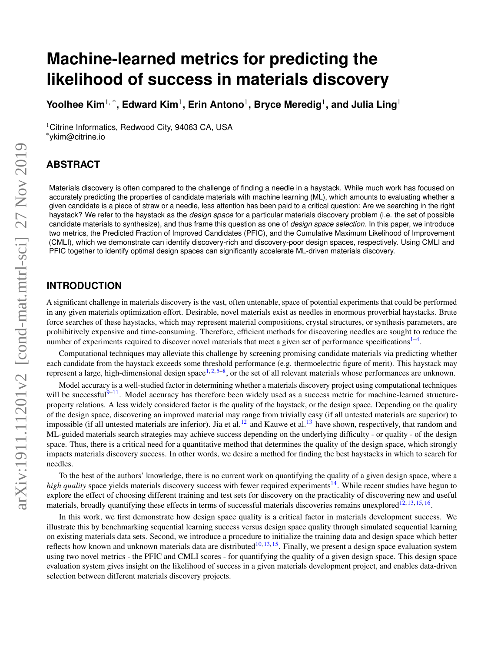# **Machine-learned metrics for predicting the likelihood of success in materials discovery**

 $\mathsf{Yoolhee}\ \mathsf{Kim}^{1,\, *},\ \mathsf{Edward}\ \mathsf{Kim}^{1},\ \mathsf{Erin}\ \mathsf{Antono}^{1},\ \mathsf{Bryce}\ \mathsf{Meredig}^{1},\ \mathsf{and}\ \mathsf{Julia}\ \mathsf{Ling}^{1},$ 

<sup>1</sup>Citrine Informatics, Redwood City, 94063 CA, USA \*ykim@citrine.io

# **ABSTRACT**

Materials discovery is often compared to the challenge of finding a needle in a haystack. While much work has focused on accurately predicting the properties of candidate materials with machine learning (ML), which amounts to evaluating whether a given candidate is a piece of straw or a needle, less attention has been paid to a critical question: Are we searching in the right haystack? We refer to the haystack as the *design space* for a particular materials discovery problem (i.e. the set of possible candidate materials to synthesize), and thus frame this question as one of *design space selection*. In this paper, we introduce two metrics, the Predicted Fraction of Improved Candidates (PFIC), and the Cumulative Maximum Likelihood of Improvement (CMLI), which we demonstrate can identify discovery-rich and discovery-poor design spaces, respectively. Using CMLI and PFIC together to identify optimal design spaces can significantly accelerate ML-driven materials discovery.

## **INTRODUCTION**

A significant challenge in materials discovery is the vast, often untenable, space of potential experiments that could be performed in any given materials optimization effort. Desirable, novel materials exist as needles in enormous proverbial haystacks. Brute force searches of these haystacks, which may represent material compositions, crystal structures, or synthesis parameters, are prohibitively expensive and time-consuming. Therefore, efficient methods for discovering needles are sought to reduce the number of experiments required to discover novel materials that meet a given set of performance specifications<sup>[1](#page-11-0)-4</sup>.

Computational techniques may alleviate this challenge by screening promising candidate materials via predicting whether each candidate from the haystack exceeds some threshold performance (e.g. thermoelectric figure of merit). This haystack may represent a large, high-dimensional design space<sup>[1,](#page-11-0) [2,](#page-11-2) [5–](#page-11-3)[8](#page-11-4)</sup>, or the set of all relevant materials whose performances are unknown.

Model accuracy is a well-studied factor in determining whether a materials discovery project using computational techniques will be successful $9-11$  $9-11$ . Model accuracy has therefore been widely used as a success metric for machine-learned structureproperty relations. A less widely considered factor is the quality of the haystack, or the design space. Depending on the quality of the design space, discovering an improved material may range from trivially easy (if all untested materials are superior) to impossible (if all untested materials are inferior). Jia et al.<sup>[12](#page-11-7)</sup> and Kauwe et al.<sup>[13](#page-11-8)</sup> have shown, respectively, that random and ML-guided materials search strategies may achieve success depending on the underlying difficulty - or quality - of the design space. Thus, there is a critical need for a quantitative method that determines the quality of the design space, which strongly impacts materials discovery success. In other words, we desire a method for finding the best haystacks in which to search for needles.

To the best of the authors' knowledge, there is no current work on quantifying the quality of a given design space, where a *high quality* space yields materials discovery success with fewer required experiments<sup>[14](#page-11-9)</sup>. While recent studies have begun to explore the effect of choosing different training and test sets for discovery on the practicality of discovering new and useful materials, broadly quantifying these effects in terms of successful materials discoveries remains unexplored $12, 13, 15, 16$  $12, 13, 15, 16$  $12, 13, 15, 16$  $12, 13, 15, 16$  $12, 13, 15, 16$  $12, 13, 15, 16$  $12, 13, 15, 16$ .

In this work, we first demonstrate how design space quality is a critical factor in materials development success. We illustrate this by benchmarking sequential learning success versus design space quality through simulated sequential learning on existing materials data sets. Second, we introduce a procedure to initialize the training data and design space which better reflects how known and unknown materials data are distributed<sup>[10,](#page-11-12) [13,](#page-11-8) [15](#page-11-10)</sup>. Finally, we present a design space evaluation system using two novel metrics - the PFIC and CMLI scores - for quantifying the quality of a given design space. This design space evaluation system gives insight on the likelihood of success in a given materials development project, and enables data-driven selection between different materials discovery projects.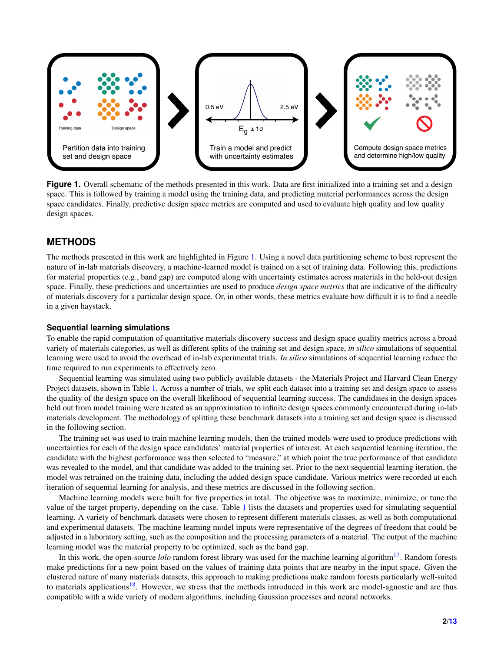<span id="page-1-0"></span>

**Figure 1.** Overall schematic of the methods presented in this work. Data are first initialized into a training set and a design space. This is followed by training a model using the training data, and predicting material performances across the design space candidates. Finally, predictive design space metrics are computed and used to evaluate high quality and low quality design spaces.

## **METHODS**

The methods presented in this work are highlighted in Figure [1.](#page-1-0) Using a novel data partitioning scheme to best represent the nature of in-lab materials discovery, a machine-learned model is trained on a set of training data. Following this, predictions for material properties (e.g., band gap) are computed along with uncertainty estimates across materials in the held-out design space. Finally, these predictions and uncertainties are used to produce *design space metrics* that are indicative of the difficulty of materials discovery for a particular design space. Or, in other words, these metrics evaluate how difficult it is to find a needle in a given haystack.

#### **Sequential learning simulations**

To enable the rapid computation of quantitative materials discovery success and design space quality metrics across a broad variety of materials categories, as well as different splits of the training set and design space, *in silico* simulations of sequential learning were used to avoid the overhead of in-lab experimental trials. *In silico* simulations of sequential learning reduce the time required to run experiments to effectively zero.

Sequential learning was simulated using two publicly available datasets - the Materials Project and Harvard Clean Energy Project datasets, shown in Table [1.](#page-2-0) Across a number of trials, we split each dataset into a training set and design space to assess the quality of the design space on the overall likelihood of sequential learning success. The candidates in the design spaces held out from model training were treated as an approximation to infinite design spaces commonly encountered during in-lab materials development. The methodology of splitting these benchmark datasets into a training set and design space is discussed in the following section.

The training set was used to train machine learning models, then the trained models were used to produce predictions with uncertainties for each of the design space candidates' material properties of interest. At each sequential learning iteration, the candidate with the highest performance was then selected to "measure," at which point the true performance of that candidate was revealed to the model, and that candidate was added to the training set. Prior to the next sequential learning iteration, the model was retrained on the training data, including the added design space candidate. Various metrics were recorded at each iteration of sequential learning for analysis, and these metrics are discussed in the following section.

Machine learning models were built for five properties in total. The objective was to maximize, minimize, or tune the value of the target property, depending on the case. Table [1](#page-2-0) lists the datasets and properties used for simulating sequential learning. A variety of benchmark datasets were chosen to represent different materials classes, as well as both computational and experimental datasets. The machine learning model inputs were representative of the degrees of freedom that could be adjusted in a laboratory setting, such as the composition and the processing parameters of a material. The output of the machine learning model was the material property to be optimized, such as the band gap.

In this work, the open-source *lolo* random forest library was used for the machine learning algorithm<sup>[17](#page-11-13)</sup>. Random forests make predictions for a new point based on the values of training data points that are nearby in the input space. Given the clustered nature of many materials datasets, this approach to making predictions make random forests particularly well-suited to materials applications<sup>[18](#page-11-14)</sup>. However, we stress that the methods introduced in this work are model-agnostic and are thus compatible with a wide variety of modern algorithms, including Gaussian processes and neural networks.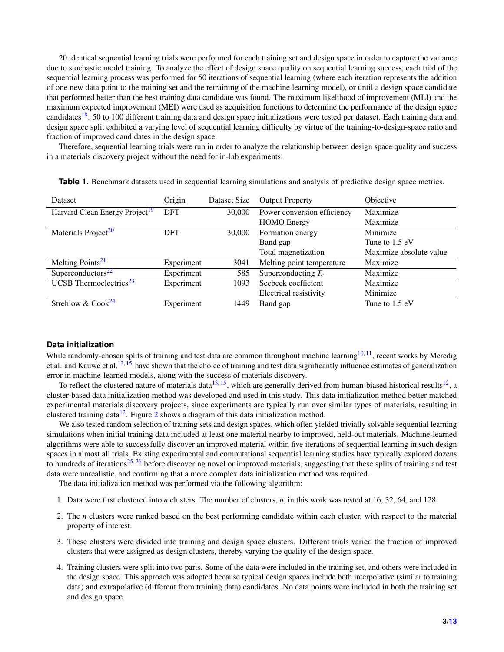20 identical sequential learning trials were performed for each training set and design space in order to capture the variance due to stochastic model training. To analyze the effect of design space quality on sequential learning success, each trial of the sequential learning process was performed for 50 iterations of sequential learning (where each iteration represents the addition of one new data point to the training set and the retraining of the machine learning model), or until a design space candidate that performed better than the best training data candidate was found. The maximum likelihood of improvement (MLI) and the maximum expected improvement (MEI) were used as acquisition functions to determine the performance of the design space candidates<sup>[18](#page-11-14)</sup>. 50 to 100 different training data and design space initializations were tested per dataset. Each training data and design space split exhibited a varying level of sequential learning difficulty by virtue of the training-to-design-space ratio and fraction of improved candidates in the design space.

Therefore, sequential learning trials were run in order to analyze the relationship between design space quality and success in a materials discovery project without the need for in-lab experiments.

| Dataset                                    | Origin     | Dataset Size | <b>Output Property</b>      | Objective                |
|--------------------------------------------|------------|--------------|-----------------------------|--------------------------|
| Harvard Clean Energy Project <sup>19</sup> | <b>DFT</b> | 30,000       | Power conversion efficiency | Maximize                 |
|                                            |            |              | <b>HOMO</b> Energy          | Maximize                 |
| Materials Project <sup>20</sup>            | <b>DFT</b> | 30,000       | Formation energy            | Minimize                 |
|                                            |            |              | Band gap                    | Tune to $1.5 \text{ eV}$ |
|                                            |            |              | Total magnetization         | Maximize absolute value  |
| Melting Points <sup>21</sup>               | Experiment | 3041         | Melting point temperature   | Maximize                 |
| Superconductors $22$                       | Experiment | 585          | Superconducting $T_c$       | Maximize                 |
| UCSB Thermoelectrics $23$                  | Experiment | 1093         | Seebeck coefficient         | Maximize                 |
|                                            |            |              | Electrical resistivity      | Minimize                 |
| Strehlow & Cook <sup>24</sup>              | Experiment | 1449         | Band gap                    | Tune to 1.5 eV           |

<span id="page-2-0"></span>**Table 1.** Benchmark datasets used in sequential learning simulations and analysis of predictive design space metrics.

#### **Data initialization**

While randomly-chosen splits of training and test data are common throughout machine learning<sup>[10,](#page-11-12) [11](#page-11-6)</sup>, recent works by Meredig et al. and Kauwe et al.<sup>[13,](#page-11-8) [15](#page-11-10)</sup> have shown that the choice of training and test data significantly influence estimates of generalization error in machine-learned models, along with the success of materials discovery.

To reflect the clustered nature of materials data<sup>[13,](#page-11-8) [15](#page-11-10)</sup>, which are generally derived from human-biased historical results<sup>[12](#page-11-7)</sup>, a cluster-based data initialization method was developed and used in this study. This data initialization method better matched experimental materials discovery projects, since experiments are typically run over similar types of materials, resulting in clustered training data<sup>[12](#page-11-7)</sup>. Figure [2](#page-3-0) shows a diagram of this data initialization method.

We also tested random selection of training sets and design spaces, which often yielded trivially solvable sequential learning simulations when initial training data included at least one material nearby to improved, held-out materials. Machine-learned algorithms were able to successfully discover an improved material within five iterations of sequential learning in such design spaces in almost all trials. Existing experimental and computational sequential learning studies have typically explored dozens to hundreds of iterations<sup>[25,](#page-12-7) [26](#page-12-8)</sup> before discovering novel or improved materials, suggesting that these splits of training and test data were unrealistic, and confirming that a more complex data initialization method was required.

The data initialization method was performed via the following algorithm:

- 1. Data were first clustered into *n* clusters. The number of clusters, *n*, in this work was tested at 16, 32, 64, and 128.
- 2. The *n* clusters were ranked based on the best performing candidate within each cluster, with respect to the material property of interest.
- 3. These clusters were divided into training and design space clusters. Different trials varied the fraction of improved clusters that were assigned as design clusters, thereby varying the quality of the design space.
- 4. Training clusters were split into two parts. Some of the data were included in the training set, and others were included in the design space. This approach was adopted because typical design spaces include both interpolative (similar to training data) and extrapolative (different from training data) candidates. No data points were included in both the training set and design space.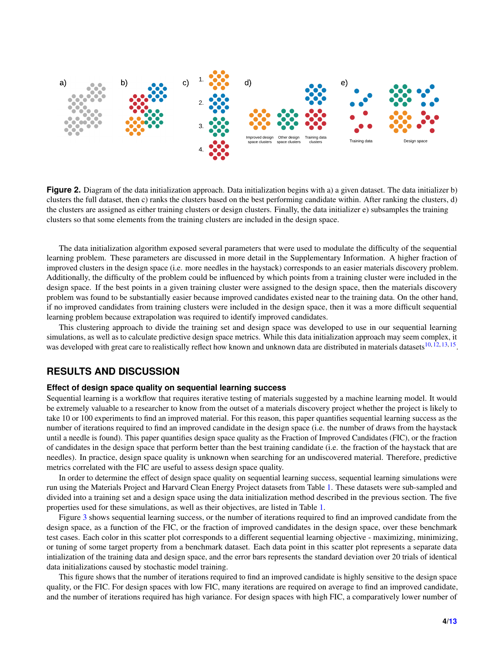<span id="page-3-0"></span>

**Figure 2.** Diagram of the data initialization approach. Data initialization begins with a) a given dataset. The data initializer b) clusters the full dataset, then c) ranks the clusters based on the best performing candidate within. After ranking the clusters, d) the clusters are assigned as either training clusters or design clusters. Finally, the data initializer e) subsamples the training clusters so that some elements from the training clusters are included in the design space.

The data initialization algorithm exposed several parameters that were used to modulate the difficulty of the sequential learning problem. These parameters are discussed in more detail in the Supplementary Information. A higher fraction of improved clusters in the design space (i.e. more needles in the haystack) corresponds to an easier materials discovery problem. Additionally, the difficulty of the problem could be influenced by which points from a training cluster were included in the design space. If the best points in a given training cluster were assigned to the design space, then the materials discovery problem was found to be substantially easier because improved candidates existed near to the training data. On the other hand, if no improved candidates from training clusters were included in the design space, then it was a more difficult sequential learning problem because extrapolation was required to identify improved candidates.

This clustering approach to divide the training set and design space was developed to use in our sequential learning simulations, as well as to calculate predictive design space metrics. While this data initialization approach may seem complex, it was developed with great care to realistically reflect how known and unknown data are distributed in materials datasets<sup>[10,](#page-11-12) [12,](#page-11-7) [13,](#page-11-8) [15](#page-11-10)</sup>.

## **RESULTS AND DISCUSSION**

#### **Effect of design space quality on sequential learning success**

Sequential learning is a workflow that requires iterative testing of materials suggested by a machine learning model. It would be extremely valuable to a researcher to know from the outset of a materials discovery project whether the project is likely to take 10 or 100 experiments to find an improved material. For this reason, this paper quantifies sequential learning success as the number of iterations required to find an improved candidate in the design space (i.e. the number of draws from the haystack until a needle is found). This paper quantifies design space quality as the Fraction of Improved Candidates (FIC), or the fraction of candidates in the design space that perform better than the best training candidate (i.e. the fraction of the haystack that are needles). In practice, design space quality is unknown when searching for an undiscovered material. Therefore, predictive metrics correlated with the FIC are useful to assess design space quality.

In order to determine the effect of design space quality on sequential learning success, sequential learning simulations were run using the Materials Project and Harvard Clean Energy Project datasets from Table [1.](#page-2-0) These datasets were sub-sampled and divided into a training set and a design space using the data initialization method described in the previous section. The five properties used for these simulations, as well as their objectives, are listed in Table [1.](#page-2-0)

Figure [3](#page-4-0) shows sequential learning success, or the number of iterations required to find an improved candidate from the design space, as a function of the FIC, or the fraction of improved candidates in the design space, over these benchmark test cases. Each color in this scatter plot corresponds to a different sequential learning objective - maximizing, minimizing, or tuning of some target property from a benchmark dataset. Each data point in this scatter plot represents a separate data intialization of the training data and design space, and the error bars represents the standard deviation over 20 trials of identical data initializations caused by stochastic model training.

This figure shows that the number of iterations required to find an improved candidate is highly sensitive to the design space quality, or the FIC. For design spaces with low FIC, many iterations are required on average to find an improved candidate, and the number of iterations required has high variance. For design spaces with high FIC, a comparatively lower number of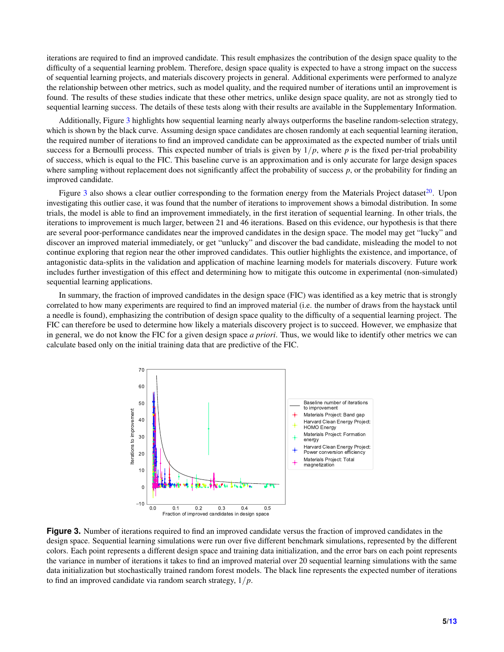iterations are required to find an improved candidate. This result emphasizes the contribution of the design space quality to the difficulty of a sequential learning problem. Therefore, design space quality is expected to have a strong impact on the success of sequential learning projects, and materials discovery projects in general. Additional experiments were performed to analyze the relationship between other metrics, such as model quality, and the required number of iterations until an improvement is found. The results of these studies indicate that these other metrics, unlike design space quality, are not as strongly tied to sequential learning success. The details of these tests along with their results are available in the Supplementary Information.

Additionally, Figure [3](#page-4-0) highlights how sequential learning nearly always outperforms the baseline random-selection strategy, which is shown by the black curve. Assuming design space candidates are chosen randomly at each sequential learning iteration, the required number of iterations to find an improved candidate can be approximated as the expected number of trials until success for a Bernoulli process. This expected number of trials is given by  $1/p$ , where p is the fixed per-trial probability of success, which is equal to the FIC. This baseline curve is an approximation and is only accurate for large design spaces where sampling without replacement does not significantly affect the probability of success  $p$ , or the probability for finding an improved candidate.

Figure [3](#page-4-0) also shows a clear outlier corresponding to the formation energy from the Materials Project dataset<sup>[20](#page-12-2)</sup>. Upon investigating this outlier case, it was found that the number of iterations to improvement shows a bimodal distribution. In some trials, the model is able to find an improvement immediately, in the first iteration of sequential learning. In other trials, the iterations to improvement is much larger, between 21 and 46 iterations. Based on this evidence, our hypothesis is that there are several poor-performance candidates near the improved candidates in the design space. The model may get "lucky" and discover an improved material immediately, or get "unlucky" and discover the bad candidate, misleading the model to not continue exploring that region near the other improved candidates. This outlier highlights the existence, and importance, of antagonistic data-splits in the validation and application of machine learning models for materials discovery. Future work includes further investigation of this effect and determining how to mitigate this outcome in experimental (non-simulated) sequential learning applications.

<span id="page-4-0"></span>In summary, the fraction of improved candidates in the design space (FIC) was identified as a key metric that is strongly correlated to how many experiments are required to find an improved material (i.e. the number of draws from the haystack until a needle is found), emphasizing the contribution of design space quality to the difficulty of a sequential learning project. The FIC can therefore be used to determine how likely a materials discovery project is to succeed. However, we emphasize that in general, we do not know the FIC for a given design space *a priori*. Thus, we would like to identify other metrics we can calculate based only on the initial training data that are predictive of the FIC.



**Figure 3.** Number of iterations required to find an improved candidate versus the fraction of improved candidates in the design space. Sequential learning simulations were run over five different benchmark simulations, represented by the different colors. Each point represents a different design space and training data initialization, and the error bars on each point represents the variance in number of iterations it takes to find an improved material over 20 sequential learning simulations with the same data initialization but stochastically trained random forest models. The black line represents the expected number of iterations to find an improved candidate via random search strategy, 1/*p*.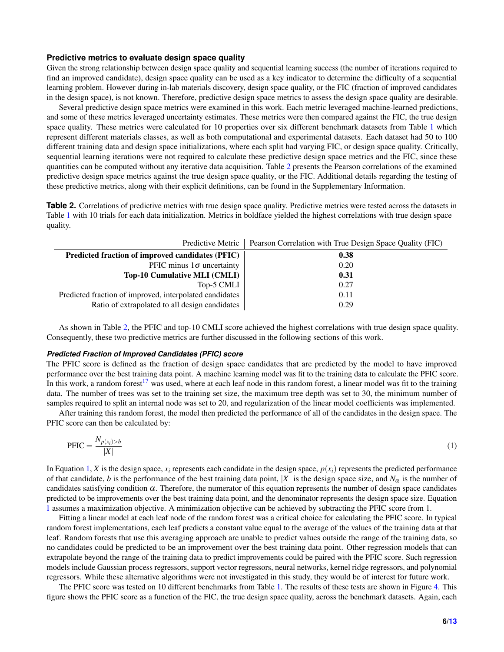#### **Predictive metrics to evaluate design space quality**

Given the strong relationship between design space quality and sequential learning success (the number of iterations required to find an improved candidate), design space quality can be used as a key indicator to determine the difficulty of a sequential learning problem. However during in-lab materials discovery, design space quality, or the FIC (fraction of improved candidates in the design space), is not known. Therefore, predictive design space metrics to assess the design space quality are desirable.

Several predictive design space metrics were examined in this work. Each metric leveraged machine-learned predictions, and some of these metrics leveraged uncertainty estimates. These metrics were then compared against the FIC, the true design space quality. These metrics were calculated for 10 properties over six different benchmark datasets from Table [1](#page-2-0) which represent different materials classes, as well as both computational and experimental datasets. Each dataset had 50 to 100 different training data and design space initializations, where each split had varying FIC, or design space quality. Critically, sequential learning iterations were not required to calculate these predictive design space metrics and the FIC, since these quantities can be computed without any iterative data acquisition. Table [2](#page-5-0) presents the Pearson correlations of the examined predictive design space metrics against the true design space quality, or the FIC. Additional details regarding the testing of these predictive metrics, along with their explicit definitions, can be found in the Supplementary Information.

<span id="page-5-0"></span>**Table 2.** Correlations of predictive metrics with true design space quality. Predictive metrics were tested across the datasets in Table [1](#page-2-0) with 10 trials for each data initialization. Metrics in boldface yielded the highest correlations with true design space quality.

|                                                         | Predictive Metric   Pearson Correlation with True Design Space Quality (FIC) |
|---------------------------------------------------------|------------------------------------------------------------------------------|
| Predicted fraction of improved candidates (PFIC)        | 0.38                                                                         |
| PFIC minus $1\sigma$ uncertainty                        | 0.20                                                                         |
| <b>Top-10 Cumulative MLI (CMLI)</b>                     | 0.31                                                                         |
| Top-5 CMLI                                              | 0.27                                                                         |
| Predicted fraction of improved, interpolated candidates | 0.11                                                                         |
| Ratio of extrapolated to all design candidates          | 0.29                                                                         |
|                                                         |                                                                              |

As shown in Table [2,](#page-5-0) the PFIC and top-10 CMLI score achieved the highest correlations with true design space quality. Consequently, these two predictive metrics are further discussed in the following sections of this work.

#### *Predicted Fraction of Improved Candidates (PFIC) score*

 $=$ 

The PFIC score is defined as the fraction of design space candidates that are predicted by the model to have improved performance over the best training data point. A machine learning model was fit to the training data to calculate the PFIC score. In this work, a random forest<sup>[17](#page-11-13)</sup> was used, where at each leaf node in this random forest, a linear model was fit to the training data. The number of trees was set to the training set size, the maximum tree depth was set to 30, the minimum number of samples required to split an internal node was set to 20, and regularization of the linear model coefficients was implemented.

After training this random forest, the model then predicted the performance of all of the candidates in the design space. The PFIC score can then be calculated by:

<span id="page-5-1"></span>
$$
PFC = \frac{N_{p(x_i) > b}}{|X|} \tag{1}
$$

In Equation [1,](#page-5-1) *X* is the design space,  $x_i$  represents each candidate in the design space,  $p(x_i)$  represents the predicted performance of that candidate, *b* is the performance of the best training data point, |X| is the design space size, and  $N_\alpha$  is the number of candidates satisfying condition  $\alpha$ . Therefore, the numerator of this equation represents the number of design space candidates predicted to be improvements over the best training data point, and the denominator represents the design space size. Equation [1](#page-5-1) assumes a maximization objective. A minimization objective can be achieved by subtracting the PFIC score from 1.

Fitting a linear model at each leaf node of the random forest was a critical choice for calculating the PFIC score. In typical random forest implementations, each leaf predicts a constant value equal to the average of the values of the training data at that leaf. Random forests that use this averaging approach are unable to predict values outside the range of the training data, so no candidates could be predicted to be an improvement over the best training data point. Other regression models that can extrapolate beyond the range of the training data to predict improvements could be paired with the PFIC score. Such regression models include Gaussian process regressors, support vector regressors, neural networks, kernel ridge regressors, and polynomial regressors. While these alternative algorithms were not investigated in this study, they would be of interest for future work.

The PFIC score was tested on 10 different benchmarks from Table [1.](#page-2-0) The results of these tests are shown in Figure [4.](#page-6-0) This figure shows the PFIC score as a function of the FIC, the true design space quality, across the benchmark datasets. Again, each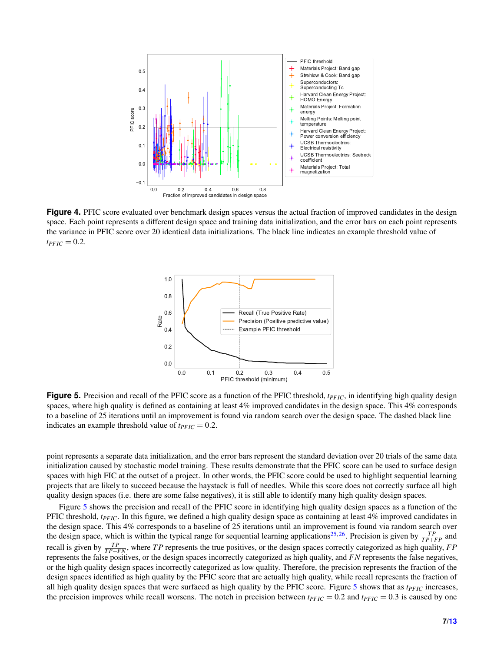<span id="page-6-0"></span>

<span id="page-6-1"></span>**Figure 4.** PFIC score evaluated over benchmark design spaces versus the actual fraction of improved candidates in the design space. Each point represents a different design space and training data initialization, and the error bars on each point represents the variance in PFIC score over 20 identical data initializations. The black line indicates an example threshold value of  $t_{PFIC} = 0.2$ .



**Figure 5.** Precision and recall of the PFIC score as a function of the PFIC threshold,  $t_{PFLC}$ , in identifying high quality design spaces, where high quality is defined as containing at least 4% improved candidates in the design space. This 4% corresponds to a baseline of 25 iterations until an improvement is found via random search over the design space. The dashed black line indicates an example threshold value of  $t_{PFIC} = 0.2$ .

point represents a separate data initialization, and the error bars represent the standard deviation over 20 trials of the same data initialization caused by stochastic model training. These results demonstrate that the PFIC score can be used to surface design spaces with high FIC at the outset of a project. In other words, the PFIC score could be used to highlight sequential learning projects that are likely to succeed because the haystack is full of needles. While this score does not correctly surface all high quality design spaces (i.e. there are some false negatives), it is still able to identify many high quality design spaces.

Figure [5](#page-6-1) shows the precision and recall of the PFIC score in identifying high quality design spaces as a function of the PFIC threshold,  $t_{PFTC}$ . In this figure, we defined a high quality design space as containing at least 4% improved candidates in the design space. This 4% corresponds to a baseline of 25 iterations until an improvement is found via random search over the design space, which is within the typical range for sequential learning applications<sup>[25,](#page-12-7) [26](#page-12-8)</sup>. Precision is given by  $\frac{TP}{TP+FP}$  and recall is given by  $\frac{TP}{TP+FN}$ , where *TP* represents the true positives, or the design spaces correctly categorized as high quality, *FP* represents the false positives, or the design spaces incorrectly categorized as high quality, and *FN* represents the false negatives, or the high quality design spaces incorrectly categorized as low quality. Therefore, the precision represents the fraction of the design spaces identified as high quality by the PFIC score that are actually high quality, while recall represents the fraction of all high quality design spaces that were surfaced as high quality by the PFIC score. Figure [5](#page-6-1) shows that as  $t_{PFLC}$  increases, the precision improves while recall worsens. The notch in precision between  $t_{PFC} = 0.2$  and  $t_{PFC} = 0.3$  is caused by one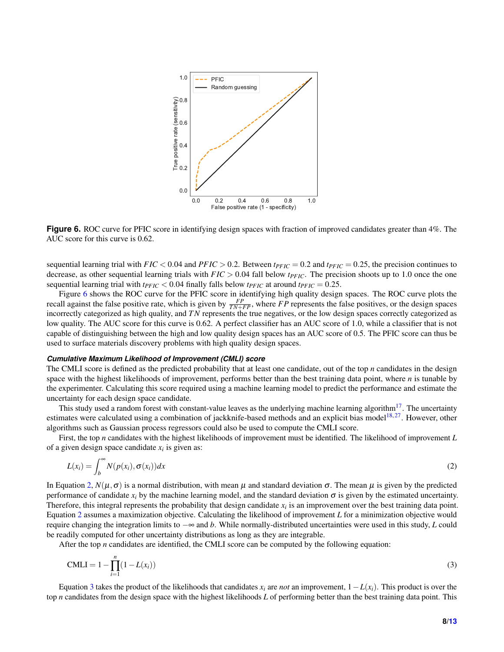<span id="page-7-0"></span>

**Figure 6.** ROC curve for PFIC score in identifying design spaces with fraction of improved candidates greater than 4%. The AUC score for this curve is 0.62.

sequential learning trial with  $FIC < 0.04$  and  $PFIC > 0.2$ . Between  $t_{PFIC} = 0.2$  and  $t_{PFIC} = 0.25$ , the precision continues to decrease, as other sequential learning trials with *F IC* > 0.04 fall below *tPF IC*. The precision shoots up to 1.0 once the one sequential learning trial with  $t_{PFIC}$  < 0.04 finally falls below  $t_{PFIC}$  at around  $t_{PFIC}$  = 0.25.

Figure [6](#page-7-0) shows the ROC curve for the PFIC score in identifying high quality design spaces. The ROC curve plots the recall against the false positive rate, which is given by  $\frac{FP}{TN+FP}$ , where *FP* represents the false positives, or the design spaces incorrectly categorized as high quality, and *TN* represents the true negatives, or the low design spaces correctly categorized as low quality. The AUC score for this curve is 0.62. A perfect classifier has an AUC score of 1.0, while a classifier that is not capable of distinguishing between the high and low quality design spaces has an AUC score of 0.5. The PFIC score can thus be used to surface materials discovery problems with high quality design spaces.

#### *Cumulative Maximum Likelihood of Improvement (CMLI) score*

The CMLI score is defined as the predicted probability that at least one candidate, out of the top *n* candidates in the design space with the highest likelihoods of improvement, performs better than the best training data point, where *n* is tunable by the experimenter. Calculating this score required using a machine learning model to predict the performance and estimate the uncertainty for each design space candidate.

This study used a random forest with constant-value leaves as the underlying machine learning algorithm<sup>[17](#page-11-13)</sup>. The uncertainty estimates were calculated using a combination of jackknife-based methods and an explicit bias model<sup>[18,](#page-11-14)[27](#page-12-9)</sup>. However, other algorithms such as Gaussian process regressors could also be used to compute the CMLI score.

First, the top *n* candidates with the highest likelihoods of improvement must be identified. The likelihood of improvement *L* of a given design space candidate *x<sup>i</sup>* is given as:

<span id="page-7-1"></span>
$$
L(x_i) = \int_b^{\infty} N(p(x_i), \sigma(x_i)) dx
$$
\n(2)

In Equation [2,](#page-7-1)  $N(\mu, \sigma)$  is a normal distribution, with mean  $\mu$  and standard deviation  $\sigma$ . The mean  $\mu$  is given by the predicted performance of candidate  $x_i$  by the machine learning model, and the standard deviation  $\sigma$  is given by the estimated uncertainty. Therefore, this integral represents the probability that design candidate  $x_i$  is an improvement over the best training data point. Equation [2](#page-7-1) assumes a maximization objective. Calculating the likelihood of improvement *L* for a minimization objective would require changing the integration limits to −∞ and *b*. While normally-distributed uncertainties were used in this study, *L* could be readily computed for other uncertainty distributions as long as they are integrable.

After the top *n* candidates are identified, the CMLI score can be computed by the following equation:

<span id="page-7-2"></span>
$$
CMLI = 1 - \prod_{i=1}^{n} (1 - L(x_i))
$$
\n(3)

Equation [3](#page-7-2) takes the product of the likelihoods that candidates  $x_i$  are *not* an improvement,  $1 - L(x_i)$ . This product is over the top *n* candidates from the design space with the highest likelihoods *L* of performing better than the best training data point. This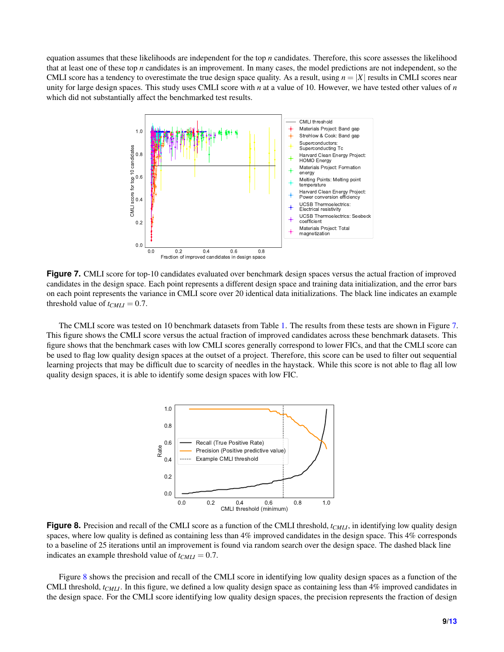<span id="page-8-0"></span>equation assumes that these likelihoods are independent for the top *n* candidates. Therefore, this score assesses the likelihood that at least one of these top *n* candidates is an improvement. In many cases, the model predictions are not independent, so the CMLI score has a tendency to overestimate the true design space quality. As a result, using  $n = |X|$  results in CMLI scores near unity for large design spaces. This study uses CMLI score with *n* at a value of 10. However, we have tested other values of *n* which did not substantially affect the benchmarked test results.



**Figure 7.** CMLI score for top-10 candidates evaluated over benchmark design spaces versus the actual fraction of improved candidates in the design space. Each point represents a different design space and training data initialization, and the error bars on each point represents the variance in CMLI score over 20 identical data initializations. The black line indicates an example threshold value of  $t_{CMLI} = 0.7$ .

<span id="page-8-1"></span>The CMLI score was tested on 10 benchmark datasets from Table [1.](#page-2-0) The results from these tests are shown in Figure [7.](#page-8-0) This figure shows the CMLI score versus the actual fraction of improved candidates across these benchmark datasets. This figure shows that the benchmark cases with low CMLI scores generally correspond to lower FICs, and that the CMLI score can be used to flag low quality design spaces at the outset of a project. Therefore, this score can be used to filter out sequential learning projects that may be difficult due to scarcity of needles in the haystack. While this score is not able to flag all low quality design spaces, it is able to identify some design spaces with low FIC.



**Figure 8.** Precision and recall of the CMLI score as a function of the CMLI threshold,  $t_{CMLI}$ , in identifying low quality design spaces, where low quality is defined as containing less than 4% improved candidates in the design space. This 4% corresponds to a baseline of 25 iterations until an improvement is found via random search over the design space. The dashed black line indicates an example threshold value of  $t_{CMLI} = 0.7$ .

Figure [8](#page-8-1) shows the precision and recall of the CMLI score in identifying low quality design spaces as a function of the CMLI threshold, *tCMLI*. In this figure, we defined a low quality design space as containing less than 4% improved candidates in the design space. For the CMLI score identifying low quality design spaces, the precision represents the fraction of design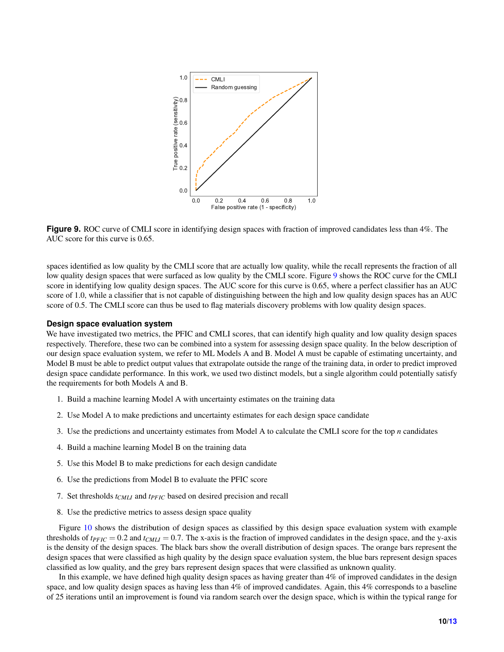<span id="page-9-0"></span>

**Figure 9.** ROC curve of CMLI score in identifying design spaces with fraction of improved candidates less than 4%. The AUC score for this curve is 0.65.

spaces identified as low quality by the CMLI score that are actually low quality, while the recall represents the fraction of all low quality design spaces that were surfaced as low quality by the CMLI score. Figure [9](#page-9-0) shows the ROC curve for the CMLI score in identifying low quality design spaces. The AUC score for this curve is 0.65, where a perfect classifier has an AUC score of 1.0, while a classifier that is not capable of distinguishing between the high and low quality design spaces has an AUC score of 0.5. The CMLI score can thus be used to flag materials discovery problems with low quality design spaces.

#### **Design space evaluation system**

We have investigated two metrics, the PFIC and CMLI scores, that can identify high quality and low quality design spaces respectively. Therefore, these two can be combined into a system for assessing design space quality. In the below description of our design space evaluation system, we refer to ML Models A and B. Model A must be capable of estimating uncertainty, and Model B must be able to predict output values that extrapolate outside the range of the training data, in order to predict improved design space candidate performance. In this work, we used two distinct models, but a single algorithm could potentially satisfy the requirements for both Models A and B.

- 1. Build a machine learning Model A with uncertainty estimates on the training data
- 2. Use Model A to make predictions and uncertainty estimates for each design space candidate
- 3. Use the predictions and uncertainty estimates from Model A to calculate the CMLI score for the top *n* candidates
- 4. Build a machine learning Model B on the training data
- 5. Use this Model B to make predictions for each design candidate
- 6. Use the predictions from Model B to evaluate the PFIC score
- 7. Set thresholds *tCMLI* and *tPF IC* based on desired precision and recall
- 8. Use the predictive metrics to assess design space quality

Figure [10](#page-10-0) shows the distribution of design spaces as classified by this design space evaluation system with example thresholds of  $t_{PFC} = 0.2$  and  $t_{CMLI} = 0.7$ . The x-axis is the fraction of improved candidates in the design space, and the y-axis is the density of the design spaces. The black bars show the overall distribution of design spaces. The orange bars represent the design spaces that were classified as high quality by the design space evaluation system, the blue bars represent design spaces classified as low quality, and the grey bars represent design spaces that were classified as unknown quality.

In this example, we have defined high quality design spaces as having greater than 4% of improved candidates in the design space, and low quality design spaces as having less than 4% of improved candidates. Again, this 4% corresponds to a baseline of 25 iterations until an improvement is found via random search over the design space, which is within the typical range for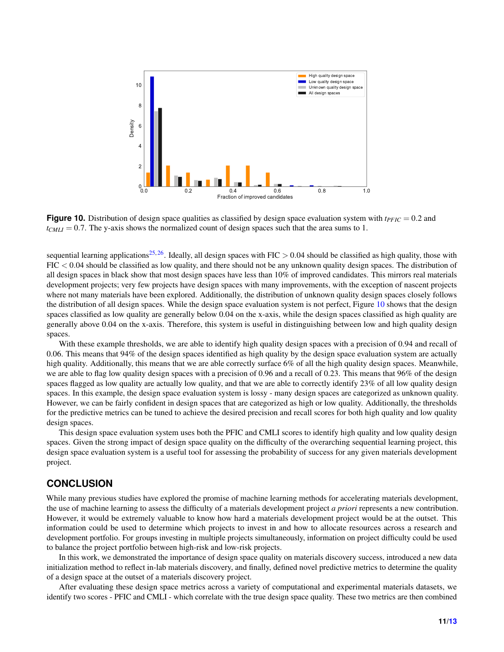<span id="page-10-0"></span>

**Figure 10.** Distribution of design space qualities as classified by design space evaluation system with  $t_{PFLC} = 0.2$  and  $t_{CMLI} = 0.7$ . The y-axis shows the normalized count of design spaces such that the area sums to 1.

sequential learning applications<sup>[25,](#page-12-7) [26](#page-12-8)</sup>. Ideally, all design spaces with FIC  $> 0.04$  should be classified as high quality, those with  $FIC < 0.04$  should be classified as low quality, and there should not be any unknown quality design spaces. The distribution of all design spaces in black show that most design spaces have less than 10% of improved candidates. This mirrors real materials development projects; very few projects have design spaces with many improvements, with the exception of nascent projects where not many materials have been explored. Additionally, the distribution of unknown quality design spaces closely follows the distribution of all design spaces. While the design space evaluation system is not perfect, Figure [10](#page-10-0) shows that the design spaces classified as low quality are generally below 0.04 on the x-axis, while the design spaces classified as high quality are generally above 0.04 on the x-axis. Therefore, this system is useful in distinguishing between low and high quality design spaces.

With these example thresholds, we are able to identify high quality design spaces with a precision of 0.94 and recall of 0.06. This means that 94% of the design spaces identified as high quality by the design space evaluation system are actually high quality. Additionally, this means that we are able correctly surface 6% of all the high quality design spaces. Meanwhile, we are able to flag low quality design spaces with a precision of 0.96 and a recall of 0.23. This means that 96% of the design spaces flagged as low quality are actually low quality, and that we are able to correctly identify 23% of all low quality design spaces. In this example, the design space evaluation system is lossy - many design spaces are categorized as unknown quality. However, we can be fairly confident in design spaces that are categorized as high or low quality. Additionally, the thresholds for the predictive metrics can be tuned to achieve the desired precision and recall scores for both high quality and low quality design spaces.

This design space evaluation system uses both the PFIC and CMLI scores to identify high quality and low quality design spaces. Given the strong impact of design space quality on the difficulty of the overarching sequential learning project, this design space evaluation system is a useful tool for assessing the probability of success for any given materials development project.

## **CONCLUSION**

While many previous studies have explored the promise of machine learning methods for accelerating materials development, the use of machine learning to assess the difficulty of a materials development project *a priori* represents a new contribution. However, it would be extremely valuable to know how hard a materials development project would be at the outset. This information could be used to determine which projects to invest in and how to allocate resources across a research and development portfolio. For groups investing in multiple projects simultaneously, information on project difficulty could be used to balance the project portfolio between high-risk and low-risk projects.

In this work, we demonstrated the importance of design space quality on materials discovery success, introduced a new data initialization method to reflect in-lab materials discovery, and finally, defined novel predictive metrics to determine the quality of a design space at the outset of a materials discovery project.

After evaluating these design space metrics across a variety of computational and experimental materials datasets, we identify two scores - PFIC and CMLI - which correlate with the true design space quality. These two metrics are then combined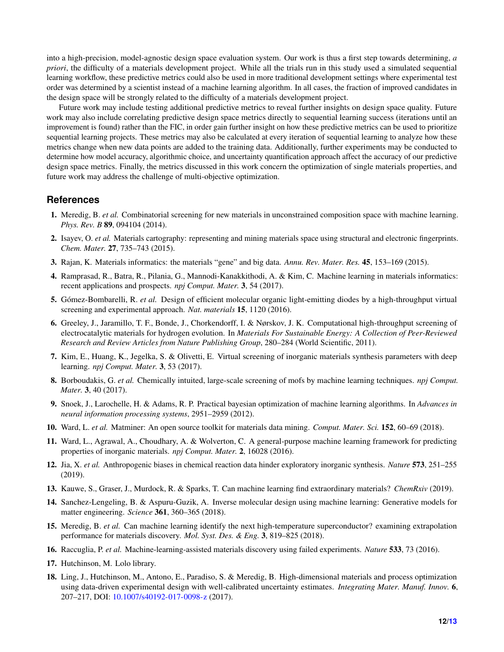into a high-precision, model-agnostic design space evaluation system. Our work is thus a first step towards determining, *a priori*, the difficulty of a materials development project. While all the trials run in this study used a simulated sequential learning workflow, these predictive metrics could also be used in more traditional development settings where experimental test order was determined by a scientist instead of a machine learning algorithm. In all cases, the fraction of improved candidates in the design space will be strongly related to the difficulty of a materials development project.

Future work may include testing additional predictive metrics to reveal further insights on design space quality. Future work may also include correlating predictive design space metrics directly to sequential learning success (iterations until an improvement is found) rather than the FIC, in order gain further insight on how these predictive metrics can be used to prioritize sequential learning projects. These metrics may also be calculated at every iteration of sequential learning to analyze how these metrics change when new data points are added to the training data. Additionally, further experiments may be conducted to determine how model accuracy, algorithmic choice, and uncertainty quantification approach affect the accuracy of our predictive design space metrics. Finally, the metrics discussed in this work concern the optimization of single materials properties, and future work may address the challenge of multi-objective optimization.

### **References**

- <span id="page-11-0"></span>1. Meredig, B. *et al.* Combinatorial screening for new materials in unconstrained composition space with machine learning. *Phys. Rev. B* 89, 094104 (2014).
- <span id="page-11-2"></span>2. Isayev, O. *et al.* Materials cartography: representing and mining materials space using structural and electronic fingerprints. *Chem. Mater.* 27, 735–743 (2015).
- 3. Rajan, K. Materials informatics: the materials "gene" and big data. *Annu. Rev. Mater. Res.* 45, 153–169 (2015).
- <span id="page-11-1"></span>4. Ramprasad, R., Batra, R., Pilania, G., Mannodi-Kanakkithodi, A. & Kim, C. Machine learning in materials informatics: recent applications and prospects. *npj Comput. Mater.* 3, 54 (2017).
- <span id="page-11-3"></span>5. Gómez-Bombarelli, R. *et al.* Design of efficient molecular organic light-emitting diodes by a high-throughput virtual screening and experimental approach. *Nat. materials* 15, 1120 (2016).
- 6. Greeley, J., Jaramillo, T. F., Bonde, J., Chorkendorff, I. & Nørskov, J. K. Computational high-throughput screening of electrocatalytic materials for hydrogen evolution. In *Materials For Sustainable Energy: A Collection of Peer-Reviewed Research and Review Articles from Nature Publishing Group*, 280–284 (World Scientific, 2011).
- 7. Kim, E., Huang, K., Jegelka, S. & Olivetti, E. Virtual screening of inorganic materials synthesis parameters with deep learning. *npj Comput. Mater.* 3, 53 (2017).
- <span id="page-11-4"></span>8. Borboudakis, G. *et al.* Chemically intuited, large-scale screening of mofs by machine learning techniques. *npj Comput. Mater.* 3, 40 (2017).
- <span id="page-11-5"></span>9. Snoek, J., Larochelle, H. & Adams, R. P. Practical bayesian optimization of machine learning algorithms. In *Advances in neural information processing systems*, 2951–2959 (2012).
- <span id="page-11-12"></span>10. Ward, L. *et al.* Matminer: An open source toolkit for materials data mining. *Comput. Mater. Sci.* 152, 60–69 (2018).
- <span id="page-11-6"></span>11. Ward, L., Agrawal, A., Choudhary, A. & Wolverton, C. A general-purpose machine learning framework for predicting properties of inorganic materials. *npj Comput. Mater.* 2, 16028 (2016).
- <span id="page-11-7"></span>12. Jia, X. *et al.* Anthropogenic biases in chemical reaction data hinder exploratory inorganic synthesis. *Nature* 573, 251–255 (2019).
- <span id="page-11-8"></span>13. Kauwe, S., Graser, J., Murdock, R. & Sparks, T. Can machine learning find extraordinary materials? *ChemRxiv* (2019).
- <span id="page-11-9"></span>14. Sanchez-Lengeling, B. & Aspuru-Guzik, A. Inverse molecular design using machine learning: Generative models for matter engineering. *Science* 361, 360–365 (2018).
- <span id="page-11-10"></span>15. Meredig, B. *et al.* Can machine learning identify the next high-temperature superconductor? examining extrapolation performance for materials discovery. *Mol. Syst. Des. & Eng.* 3, 819–825 (2018).
- <span id="page-11-11"></span>16. Raccuglia, P. *et al.* Machine-learning-assisted materials discovery using failed experiments. *Nature* 533, 73 (2016).
- <span id="page-11-13"></span>17. Hutchinson, M. Lolo library.
- <span id="page-11-14"></span>18. Ling, J., Hutchinson, M., Antono, E., Paradiso, S. & Meredig, B. High-dimensional materials and process optimization using data-driven experimental design with well-calibrated uncertainty estimates. *Integrating Mater. Manuf. Innov.* 6, 207–217, DOI: <10.1007/s40192-017-0098-z> (2017).